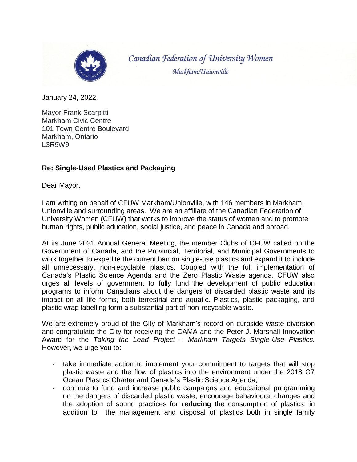

Canadian Federation of University Women Markham/Unionville

January 24, 2022.

Mayor Frank Scarpitti Markham Civic Centre 101 Town Centre Boulevard Markham, Ontario L3R9W9

## **Re: Single-Used Plastics and Packaging**

Dear Mayor,

I am writing on behalf of CFUW Markham/Unionville, with 146 members in Markham, Unionville and surrounding areas. We are an affiliate of the Canadian Federation of University Women (CFUW) that works to improve the status of women and to promote human rights, public education, social justice, and peace in Canada and abroad.

At its June 2021 Annual General Meeting, the member Clubs of CFUW called on the Government of Canada, and the Provincial, Territorial, and Municipal Governments to work together to expedite the current ban on single-use plastics and expand it to include all unnecessary, non-recyclable plastics. Coupled with the full implementation of Canada's Plastic Science Agenda and the Zero Plastic Waste agenda, CFUW also urges all levels of government to fully fund the development of public education programs to inform Canadians about the dangers of discarded plastic waste and its impact on all life forms, both terrestrial and aquatic. Plastics, plastic packaging, and plastic wrap labelling form a substantial part of non-recycable waste.

We are extremely proud of the City of Markham's record on curbside waste diversion and congratulate the City for receiving the CAMA and the Peter J. Marshall Innovation Award for the *Taking the Lead Project – Markham Targets Single-Use Plastics.*  However, we urge you to:

- take immediate action to implement your commitment to targets that will stop plastic waste and the flow of plastics into the environment under the 2018 G7 Ocean Plastics Charter and Canada's Plastic Science Agenda;
- continue to fund and increase public campaigns and educational programming on the dangers of discarded plastic waste; encourage behavioural changes and the adoption of sound practices for **reducing** the consumption of plastics, in addition to the management and disposal of plastics both in single family